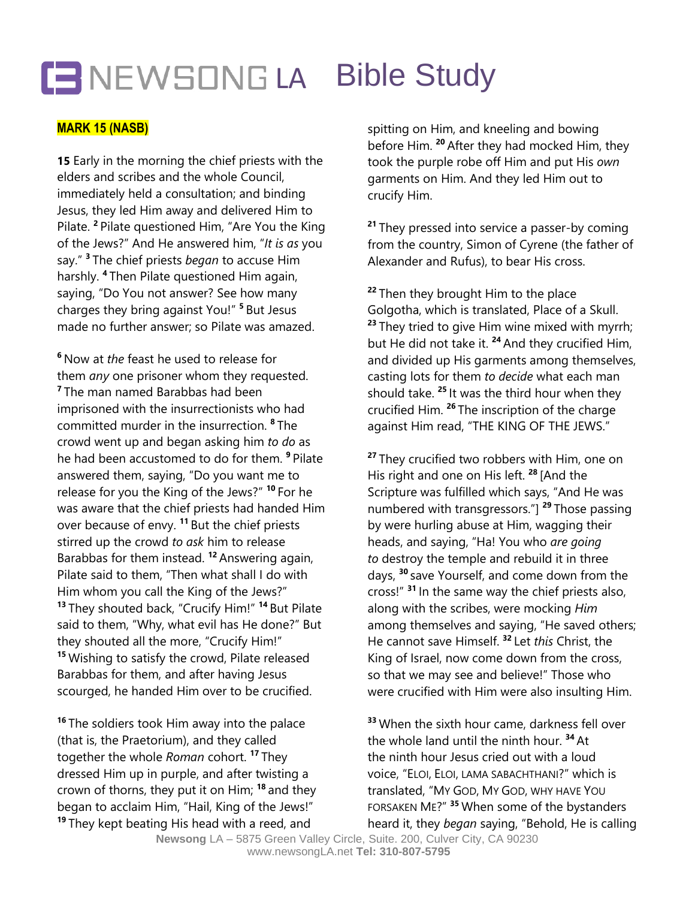## **CENEWSONGLA Bible Study**

### **MARK 15 (NASB)**

**15** Early in the morning the chief priests with the elders and scribes and the whole Council, immediately held a consultation; and binding Jesus, they led Him away and delivered Him to Pilate. **<sup>2</sup>** Pilate questioned Him, "Are You the King of the Jews?" And He answered him, "*It is as* you say." **3** The chief priests *began* to accuse Him harshly. **4** Then Pilate questioned Him again, saying, "Do You not answer? See how many charges they bring against You!" **<sup>5</sup>** But Jesus made no further answer; so Pilate was amazed.

**<sup>6</sup>** Now at *the* feast he used to release for them *any* one prisoner whom they requested. **7** The man named Barabbas had been imprisoned with the insurrectionists who had committed murder in the insurrection. **8** The crowd went up and began asking him *to do* as he had been accustomed to do for them. **<sup>9</sup>** Pilate answered them, saying, "Do you want me to release for you the King of the Jews?" **<sup>10</sup>** For he was aware that the chief priests had handed Him over because of envy. **<sup>11</sup>** But the chief priests stirred up the crowd *to ask* him to release Barabbas for them instead. **<sup>12</sup>** Answering again, Pilate said to them, "Then what shall I do with Him whom you call the King of the Jews?" **<sup>13</sup>** They shouted back, "Crucify Him!" **<sup>14</sup>** But Pilate said to them, "Why, what evil has He done?" But they shouted all the more, "Crucify Him!" **<sup>15</sup>** Wishing to satisfy the crowd, Pilate released Barabbas for them, and after having Jesus scourged, he handed Him over to be crucified.

**<sup>16</sup>** The soldiers took Him away into the palace (that is, the Praetorium), and they called together the whole *Roman* cohort. **<sup>17</sup>** They dressed Him up in purple, and after twisting a crown of thorns, they put it on Him; **<sup>18</sup>** and they began to acclaim Him, "Hail, King of the Jews!" **<sup>19</sup>** They kept beating His head with a reed, and

spitting on Him, and kneeling and bowing before Him. **<sup>20</sup>** After they had mocked Him, they took the purple robe off Him and put His *own* garments on Him. And they led Him out to crucify Him.

**<sup>21</sup>** They pressed into service a passer-by coming from the country, Simon of Cyrene (the father of Alexander and Rufus), to bear His cross.

**<sup>22</sup>** Then they brought Him to the place Golgotha, which is translated, Place of a Skull. **<sup>23</sup>** They tried to give Him wine mixed with myrrh; but He did not take it. **<sup>24</sup>** And they crucified Him, and divided up His garments among themselves, casting lots for them *to decide* what each man should take. **<sup>25</sup>** It was the third hour when they crucified Him. **<sup>26</sup>** The inscription of the charge against Him read, "THE KING OF THE JEWS."

**<sup>27</sup>** They crucified two robbers with Him, one on His right and one on His left. **<sup>28</sup>** [And the Scripture was fulfilled which says, "And He was numbered with transgressors."] **<sup>29</sup>** Those passing by were hurling abuse at Him, wagging their heads, and saying, "Ha! You who *are going to* destroy the temple and rebuild it in three days, **<sup>30</sup>** save Yourself, and come down from the cross!" **<sup>31</sup>** In the same way the chief priests also, along with the scribes, were mocking *Him* among themselves and saying, "He saved others; He cannot save Himself. **<sup>32</sup>** Let *this* Christ, the King of Israel, now come down from the cross, so that we may see and believe!" Those who were crucified with Him were also insulting Him.

**<sup>33</sup>** When the sixth hour came, darkness fell over the whole land until the ninth hour. **<sup>34</sup>** At the ninth hour Jesus cried out with a loud voice, "ELOI, ELOI, LAMA SABACHTHANI?" which is translated, "MY GOD, MY GOD, WHY HAVE YOU FORSAKEN ME?" **<sup>35</sup>** When some of the bystanders heard it, they *began* saying, "Behold, He is calling